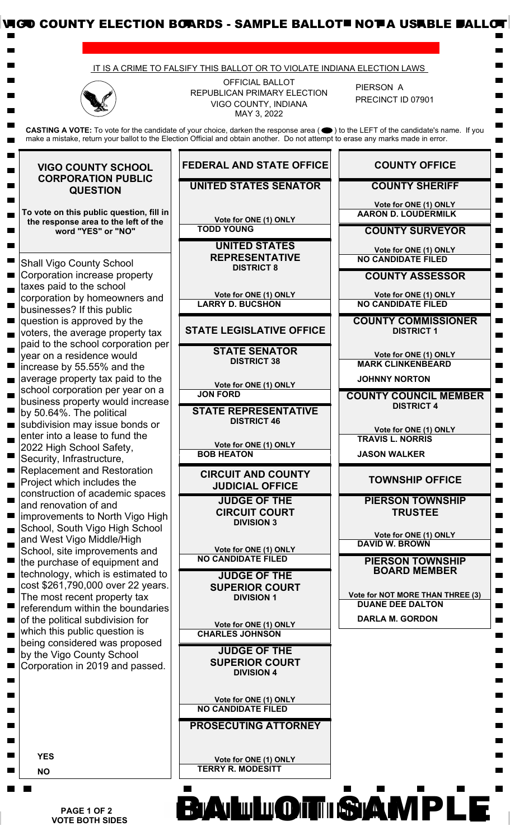

 **PAGE 1 OF 2 VOTE BOTH SIDES**